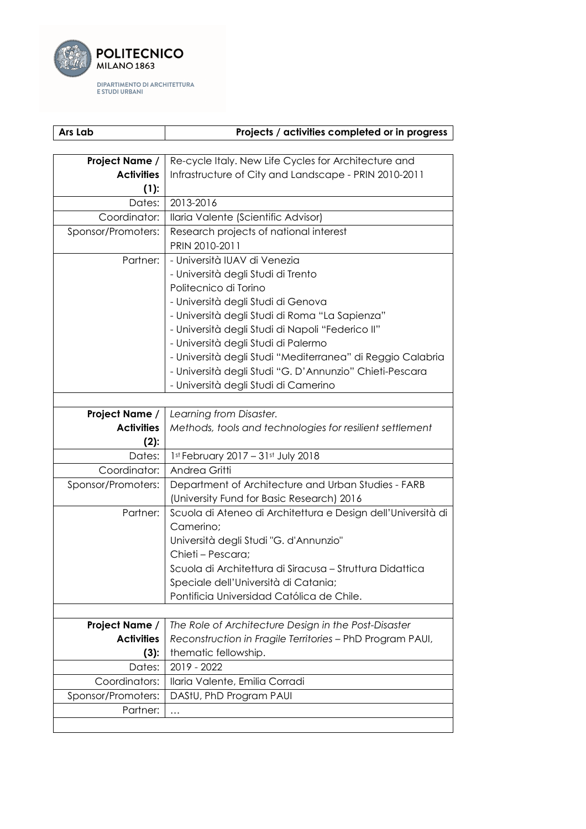

| Ars Lab            | Projects / activities completed or in progress               |
|--------------------|--------------------------------------------------------------|
|                    |                                                              |
| Project Name /     | Re-cycle Italy. New Life Cycles for Architecture and         |
| <b>Activities</b>  | Infrastructure of City and Landscape - PRIN 2010-2011        |
| (1):               |                                                              |
| Dates:             | 2013-2016                                                    |
| Coordinator:       | Ilaria Valente (Scientific Advisor)                          |
| Sponsor/Promoters: | Research projects of national interest                       |
|                    | PRIN 2010-2011                                               |
| Partner:           | - Università IUAV di Venezia                                 |
|                    | - Università degli Studi di Trento                           |
|                    | Politecnico di Torino                                        |
|                    | - Università degli Studi di Genova                           |
|                    | - Università degli Studi di Roma "La Sapienza"               |
|                    | - Università degli Studi di Napoli "Federico II"             |
|                    | - Università degli Studi di Palermo                          |
|                    | - Università degli Studi "Mediterranea" di Reggio Calabria   |
|                    | - Università degli Studi "G. D'Annunzio" Chieti-Pescara      |
|                    | - Università degli Studi di Camerino                         |
|                    |                                                              |
| Project Name /     | Learning from Disaster.                                      |
| <b>Activities</b>  | Methods, tools and technologies for resilient settlement     |
| $(2)$ :            |                                                              |
| Dates:             | 1st February 2017 - 31st July 2018                           |
| Coordinator:       | Andrea Gritti                                                |
| Sponsor/Promoters: | Department of Architecture and Urban Studies - FARB          |
|                    | (University Fund for Basic Research) 2016                    |
| Partner:           | Scuola di Ateneo di Architettura e Design dell'Università di |
|                    | Camerino;                                                    |
|                    | Università degli Studi "G. d'Annunzio"                       |
|                    | Chieti - Pescara;                                            |
|                    | Scuola di Architettura di Siracusa - Struttura Didattica     |
|                    | Speciale dell'Università di Catania;                         |
|                    | Pontificia Universidad Católica de Chile.                    |
|                    |                                                              |
| Project Name /     | The Role of Architecture Design in the Post-Disaster         |
| <b>Activities</b>  | Reconstruction in Fragile Territories - PhD Program PAUI,    |
| (3):               | thematic fellowship.                                         |
| Dates:             | 2019 - 2022                                                  |
| Coordinators:      | Ilaria Valente, Emilia Corradi                               |
| Sponsor/Promoters: | DAStU, PhD Program PAUI                                      |
| Partner:           |                                                              |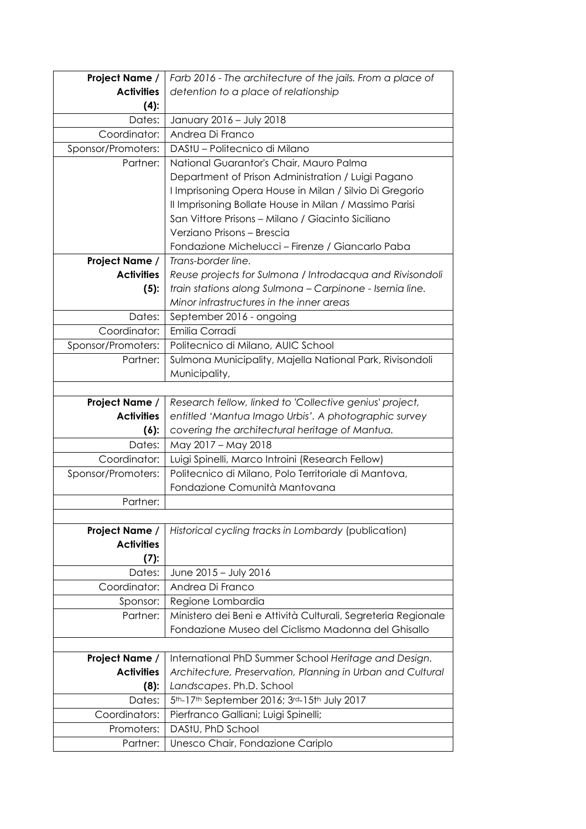| Project Name /     | Farb 2016 - The architecture of the jails. From a place of    |
|--------------------|---------------------------------------------------------------|
| <b>Activities</b>  | detention to a place of relationship                          |
| $(4)$ :            |                                                               |
| Dates:             | January 2016 - July 2018                                      |
| Coordinator:       | Andrea Di Franco                                              |
| Sponsor/Promoters: | DAStU - Politecnico di Milano                                 |
| Partner:           | National Guarantor's Chair, Mauro Palma                       |
|                    | Department of Prison Administration / Luigi Pagano            |
|                    | I Imprisoning Opera House in Milan / Silvio Di Gregorio       |
|                    | Il Imprisoning Bollate House in Milan / Massimo Parisi        |
|                    | San Vittore Prisons - Milano / Giacinto Siciliano             |
|                    | Verziano Prisons – Brescia                                    |
|                    | Fondazione Michelucci - Firenze / Giancarlo Paba              |
| Project Name /     | Trans-border line.                                            |
| <b>Activities</b>  | Reuse projects for Sulmona / Introdacqua and Rivisondoli      |
| $(5)$ :            | train stations along Sulmona - Carpinone - Isernia line.      |
|                    | Minor infrastructures in the inner areas                      |
| Dates:             | September 2016 - ongoing                                      |
| Coordinator:       | Emilia Corradi                                                |
| Sponsor/Promoters: | Politecnico di Milano, AUIC School                            |
| Partner:           | Sulmona Municipality, Majella National Park, Rivisondoli      |
|                    | Municipality,                                                 |
|                    |                                                               |
| Project Name /     | Research fellow, linked to 'Collective genius' project,       |
| <b>Activities</b>  | entitled 'Mantua Imago Urbis'. A photographic survey          |
| $(6)$ :            | covering the architectural heritage of Mantua.                |
| Dates:             | May 2017 - May 2018                                           |
| Coordinator:       | Luigi Spinelli, Marco Introini (Research Fellow)              |
| Sponsor/Promoters: | Politecnico di Milano, Polo Territoriale di Mantova,          |
|                    | Fondazione Comunità Mantovana                                 |
| Partner:           |                                                               |
| Project Name /     | Historical cycling tracks in Lombardy (publication)           |
| <b>Activities</b>  |                                                               |
| (7):               |                                                               |
| Dates:             | June 2015 - July 2016                                         |
| Coordinator:       | Andrea Di Franco                                              |
| Sponsor:           |                                                               |
|                    |                                                               |
|                    | Regione Lombardia                                             |
| Partner:           | Ministero dei Beni e Attività Culturali, Segreteria Regionale |
|                    | Fondazione Museo del Ciclismo Madonna del Ghisallo            |
| Project Name /     | International PhD Summer School Heritage and Design.          |
| <b>Activities</b>  | Architecture, Preservation, Planning in Urban and Cultural    |
| $(8)$ :            | Landscapes. Ph.D. School                                      |
| Dates:             | 5th-17th September 2016; 3rd-15th July 2017                   |
| Coordinators:      | Pierfranco Galliani; Luigi Spinelli;                          |
| Promoters:         | DAStU, PhD School                                             |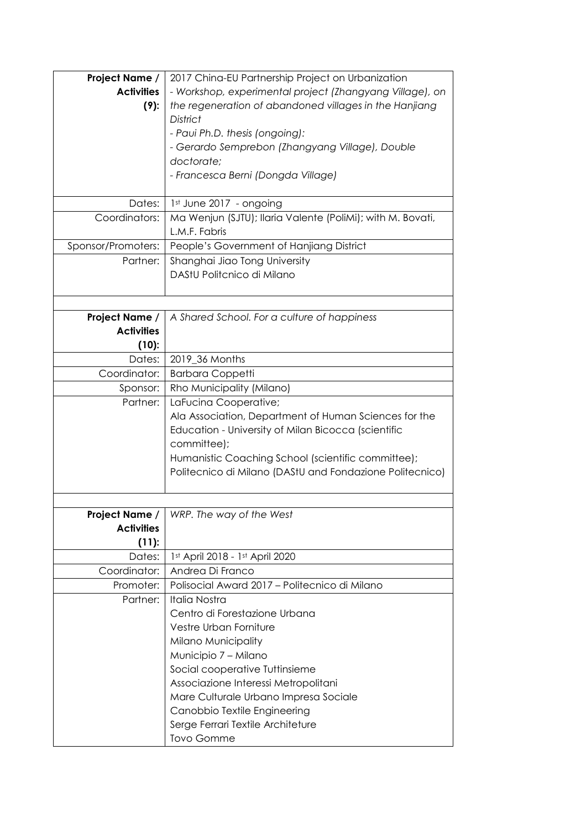| Project Name /     | 2017 China-EU Partnership Project on Urbanization          |
|--------------------|------------------------------------------------------------|
| <b>Activities</b>  | - Workshop, experimental project (Zhangyang Village), on   |
| $(9)$ :            | the regeneration of abandoned villages in the Hanjiang     |
|                    | <b>District</b>                                            |
|                    | - Paui Ph.D. thesis (ongoing):                             |
|                    | - Gerardo Semprebon (Zhangyang Village), Double            |
|                    | doctorate;                                                 |
|                    | - Francesca Berni (Dongda Village)                         |
|                    |                                                            |
| Dates:             | 1st June 2017 - ongoing                                    |
| Coordinators:      | Ma Wenjun (SJTU); Ilaria Valente (PoliMi); with M. Bovati, |
|                    | L.M.F. Fabris                                              |
| Sponsor/Promoters: | People's Government of Hanjiang District                   |
| Partner:           | Shanghai Jiao Tong University                              |
|                    | DAStU Politcnico di Milano                                 |
|                    |                                                            |
|                    |                                                            |
| Project Name /     | A Shared School. For a culture of happiness                |
| <b>Activities</b>  |                                                            |
| (10):              |                                                            |
| Dates:             | 2019_36 Months                                             |
| Coordinator:       | <b>Barbara Coppetti</b>                                    |
| Sponsor:           | Rho Municipality (Milano)                                  |
| Partner:           | LaFucina Cooperative;                                      |
|                    | Ala Association, Department of Human Sciences for the      |
|                    | Education - University of Milan Bicocca (scientific        |
|                    | committee);                                                |
|                    | Humanistic Coaching School (scientific committee);         |
|                    | Politecnico di Milano (DAStU and Fondazione Politecnico)   |
|                    |                                                            |
|                    |                                                            |
| Project Name /     | WRP. The way of the West                                   |
| <b>Activities</b>  |                                                            |
| (11):              |                                                            |
| Dates:             | 1st April 2018 - 1st April 2020                            |
| Coordinator:       | Andrea Di Franco                                           |
| Promoter:          | Polisocial Award 2017 - Politecnico di Milano              |
| Partner:           | <b>Italia Nostra</b>                                       |
|                    | Centro di Forestazione Urbana                              |
|                    | Vestre Urban Forniture                                     |
|                    | <b>Milano Municipality</b>                                 |
|                    | Municipio 7 - Milano                                       |
|                    | Social cooperative Tuttinsieme                             |
|                    | Associazione Interessi Metropolitani                       |
|                    | Mare Culturale Urbano Impresa Sociale                      |
|                    | Canobbio Textile Engineering                               |
|                    | Serge Ferrari Textile Architeture                          |
|                    | Tovo Gomme                                                 |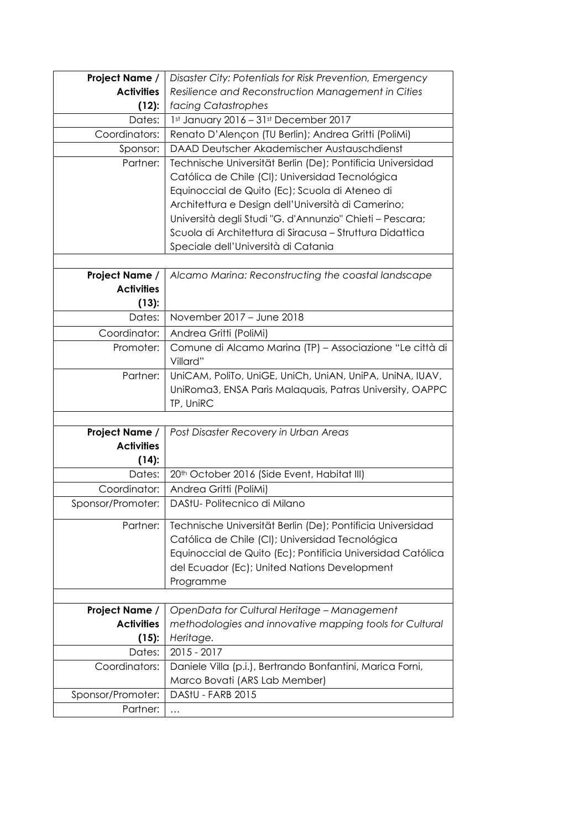| Project Name /    | Disaster City: Potentials for Risk Prevention, Emergency   |
|-------------------|------------------------------------------------------------|
| <b>Activities</b> | Resilience and Reconstruction Management in Cities         |
| (12):             | facing Catastrophes                                        |
| Dates:            |                                                            |
|                   | 1st January 2016 - 31st December 2017                      |
| Coordinators:     | Renato D'Alençon (TU Berlin); Andrea Gritti (PoliMi)       |
| Sponsor:          | DAAD Deutscher Akademischer Austauschdienst                |
| Partner:          | Technische Universität Berlin (De); Pontificia Universidad |
|                   | Católica de Chile (CI); Universidad Tecnológica            |
|                   | Equinoccial de Quito (Ec); Scuola di Ateneo di             |
|                   | Architettura e Design dell'Università di Camerino;         |
|                   | Università degli Studi "G. d'Annunzio" Chieti - Pescara;   |
|                   | Scuola di Architettura di Siracusa - Struttura Didattica   |
|                   | Speciale dell'Università di Catania                        |
|                   |                                                            |
| Project Name /    | Alcamo Marina: Reconstructing the coastal landscape        |
| <b>Activities</b> |                                                            |
| (13):             |                                                            |
| Dates:            | November 2017 - June 2018                                  |
| Coordinator:      | Andrea Gritti (PoliMi)                                     |
| Promoter:         | Comune di Alcamo Marina (TP) - Associazione "Le città di   |
|                   | Villard"                                                   |
| Partner:          | UniCAM, PoliTo, UniGE, UniCh, UniAN, UniPA, UniNA, IUAV,   |
|                   | UniRoma3, ENSA Paris Malaquais, Patras University, OAPPC   |
|                   | TP, UniRC                                                  |
|                   |                                                            |
| Project Name /    | Post Disaster Recovery in Urban Areas                      |
| <b>Activities</b> |                                                            |
| $(14)$ :          |                                                            |
| Dates:            | 20th October 2016 (Side Event, Habitat III)                |
| Coordinator:      | Andrea Gritti (PoliMi)                                     |
| Sponsor/Promoter: | DAStU-Politecnico di Milano                                |
|                   |                                                            |
| Partner:          | Technische Universität Berlin (De); Pontificia Universidad |
|                   | Católica de Chile (CI); Universidad Tecnológica            |
|                   | Equinoccial de Quito (Ec); Pontificia Universidad Católica |
|                   | del Ecuador (Ec); United Nations Development               |
|                   | Programme                                                  |
|                   |                                                            |
| Project Name /    | OpenData for Cultural Heritage - Management                |
| <b>Activities</b> | methodologies and innovative mapping tools for Cultural    |
| (15):             | Heritage.                                                  |
|                   |                                                            |
| Dates:            | 2015 - 2017                                                |
| Coordinators:     | Daniele Villa (p.i.), Bertrando Bonfantini, Marica Forni,  |
|                   | Marco Bovati (ARS Lab Member)                              |
| Sponsor/Promoter: | DAStU - FARB 2015                                          |
| Partner:          | $\cdots$                                                   |